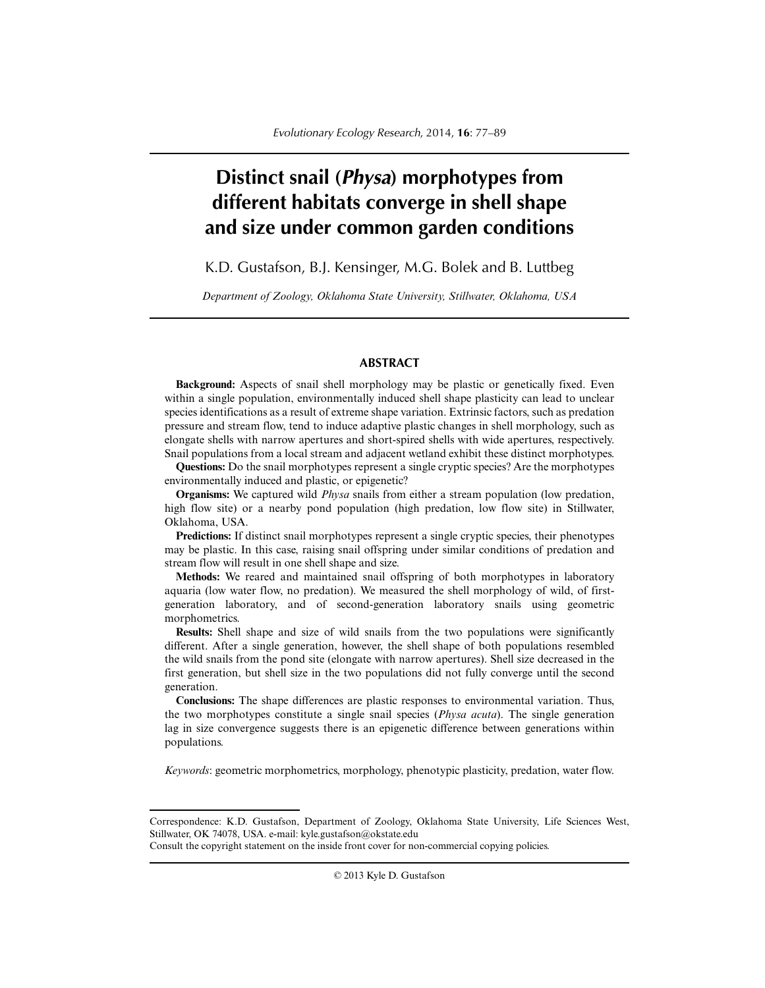# **Distinct snail (***Physa***) morphotypes from different habitats converge in shell shape and size under common garden conditions**

K.D. Gustafson, B.J. Kensinger, M.G. Bolek and B. Luttbeg

*Department of Zoology, Oklahoma State University, Stillwater, Oklahoma, USA*

# **ABSTRACT**

**Background:** Aspects of snail shell morphology may be plastic or genetically fixed. Even within a single population, environmentally induced shell shape plasticity can lead to unclear species identifications as a result of extreme shape variation. Extrinsic factors, such as predation pressure and stream flow, tend to induce adaptive plastic changes in shell morphology, such as elongate shells with narrow apertures and short-spired shells with wide apertures, respectively. Snail populations from a local stream and adjacent wetland exhibit these distinct morphotypes.

**Questions:** Do the snail morphotypes represent a single cryptic species? Are the morphotypes environmentally induced and plastic, or epigenetic?

**Organisms:** We captured wild *Physa* snails from either a stream population (low predation, high flow site) or a nearby pond population (high predation, low flow site) in Stillwater, Oklahoma, USA.

**Predictions:** If distinct snail morphotypes represent a single cryptic species, their phenotypes may be plastic. In this case, raising snail offspring under similar conditions of predation and stream flow will result in one shell shape and size.

**Methods:** We reared and maintained snail offspring of both morphotypes in laboratory aquaria (low water flow, no predation). We measured the shell morphology of wild, of firstgeneration laboratory, and of second-generation laboratory snails using geometric morphometrics.

**Results:** Shell shape and size of wild snails from the two populations were significantly different. After a single generation, however, the shell shape of both populations resembled the wild snails from the pond site (elongate with narrow apertures). Shell size decreased in the first generation, but shell size in the two populations did not fully converge until the second generation.

**Conclusions:** The shape differences are plastic responses to environmental variation. Thus, the two morphotypes constitute a single snail species (*Physa acuta*). The single generation lag in size convergence suggests there is an epigenetic difference between generations within populations.

*Keywords*: geometric morphometrics, morphology, phenotypic plasticity, predation, water flow.

Correspondence: K.D. Gustafson, Department of Zoology, Oklahoma State University, Life Sciences West, Stillwater, OK 74078, USA. e-mail: kyle.gustafson@okstate.edu

Consult the copyright statement on the inside front cover for non-commercial copying policies.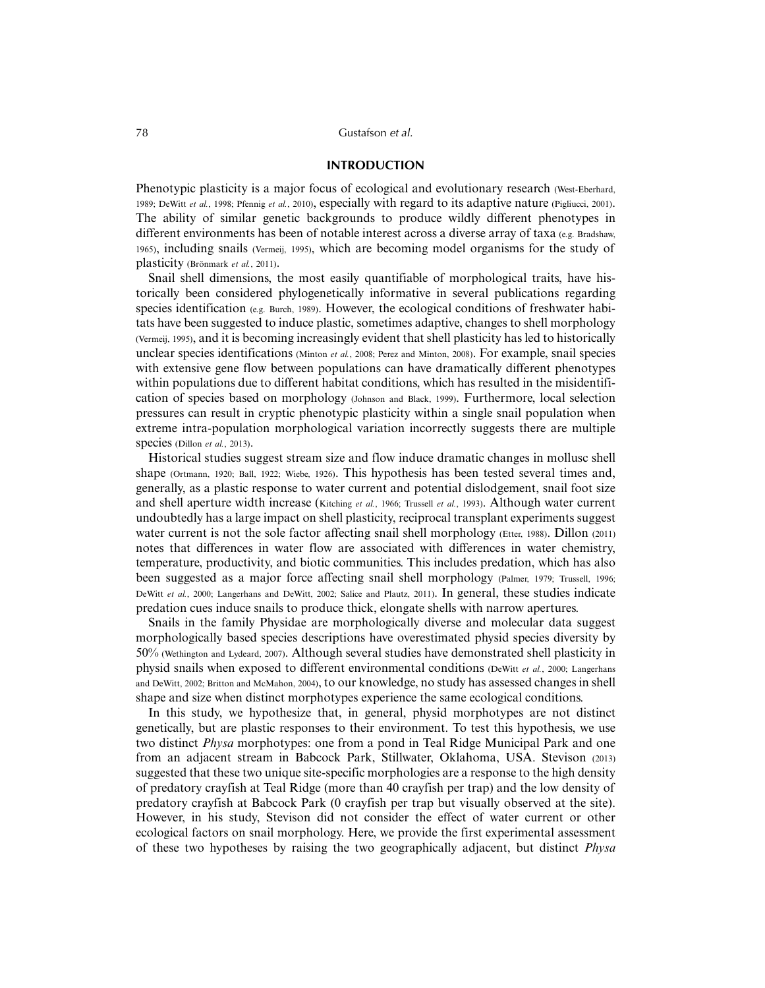## 78 Gustafson *et al.*

# **INTRODUCTION**

Phenotypic plasticity is a major focus of ecological and evolutionary research (West-Eberhard, 1989; DeWitt *et al.*, 1998; Pfennig *et al.*, 2010), especially with regard to its adaptive nature (Pigliucci, 2001). The ability of similar genetic backgrounds to produce wildly different phenotypes in different environments has been of notable interest across a diverse array of taxa (e.g. Bradshaw, 1965), including snails (Vermeij, 1995), which are becoming model organisms for the study of plasticity (Brönmark *et al.*, 2011).

Snail shell dimensions, the most easily quantifiable of morphological traits, have historically been considered phylogenetically informative in several publications regarding species identification (e.g. Burch, 1989). However, the ecological conditions of freshwater habitats have been suggested to induce plastic, sometimes adaptive, changes to shell morphology (Vermeij, 1995), and it is becoming increasingly evident that shell plasticity has led to historically unclear species identifications (Minton *et al.*, 2008; Perez and Minton, 2008). For example, snail species with extensive gene flow between populations can have dramatically different phenotypes within populations due to different habitat conditions, which has resulted in the misidentification of species based on morphology (Johnson and Black, 1999). Furthermore, local selection pressures can result in cryptic phenotypic plasticity within a single snail population when extreme intra-population morphological variation incorrectly suggests there are multiple species (Dillon et al., 2013).

Historical studies suggest stream size and flow induce dramatic changes in mollusc shell shape (Ortmann, 1920; Ball, 1922; Wiebe, 1926). This hypothesis has been tested several times and, generally, as a plastic response to water current and potential dislodgement, snail foot size and shell aperture width increase (Kitching *et al.*, 1966; Trussell *et al.*, 1993). Although water current undoubtedly has a large impact on shell plasticity, reciprocal transplant experiments suggest water current is not the sole factor affecting snail shell morphology (Etter, 1988). Dillon (2011) notes that differences in water flow are associated with differences in water chemistry, temperature, productivity, and biotic communities. This includes predation, which has also been suggested as a major force affecting snail shell morphology (Palmer, 1979; Trussell, 1996; DeWitt *et al.*, 2000; Langerhans and DeWitt, 2002; Salice and Plautz, 2011). In general, these studies indicate predation cues induce snails to produce thick, elongate shells with narrow apertures.

Snails in the family Physidae are morphologically diverse and molecular data suggest morphologically based species descriptions have overestimated physid species diversity by 50% (Wethington and Lydeard, 2007). Although several studies have demonstrated shell plasticity in physid snails when exposed to different environmental conditions (DeWitt *et al.*, 2000; Langerhans and DeWitt, 2002; Britton and McMahon, 2004), to our knowledge, no study has assessed changes in shell shape and size when distinct morphotypes experience the same ecological conditions.

In this study, we hypothesize that, in general, physid morphotypes are not distinct genetically, but are plastic responses to their environment. To test this hypothesis, we use two distinct *Physa* morphotypes: one from a pond in Teal Ridge Municipal Park and one from an adjacent stream in Babcock Park, Stillwater, Oklahoma, USA. Stevison (2013) suggested that these two unique site-specific morphologies are a response to the high density of predatory crayfish at Teal Ridge (more than 40 crayfish per trap) and the low density of predatory crayfish at Babcock Park (0 crayfish per trap but visually observed at the site). However, in his study, Stevison did not consider the effect of water current or other ecological factors on snail morphology. Here, we provide the first experimental assessment of these two hypotheses by raising the two geographically adjacent, but distinct *Physa*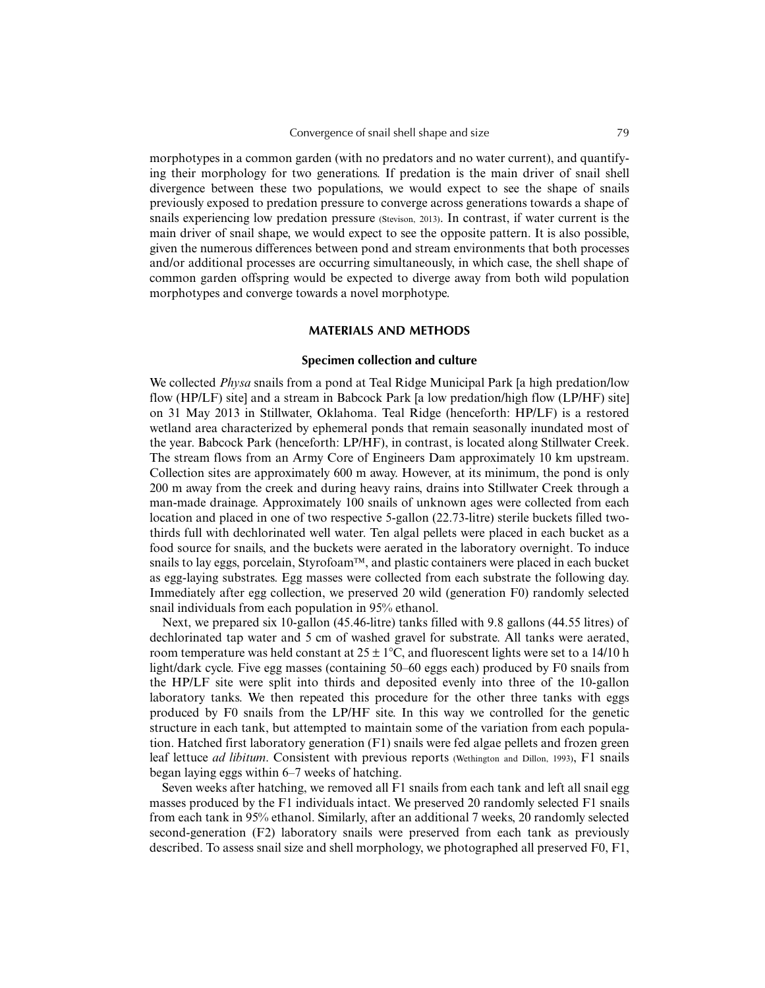morphotypes in a common garden (with no predators and no water current), and quantifying their morphology for two generations. If predation is the main driver of snail shell divergence between these two populations, we would expect to see the shape of snails previously exposed to predation pressure to converge across generations towards a shape of snails experiencing low predation pressure (Stevison, 2013). In contrast, if water current is the main driver of snail shape, we would expect to see the opposite pattern. It is also possible, given the numerous differences between pond and stream environments that both processes and/or additional processes are occurring simultaneously, in which case, the shell shape of common garden offspring would be expected to diverge away from both wild population morphotypes and converge towards a novel morphotype.

### **MATERIALS AND METHODS**

# **Specimen collection and culture**

We collected *Physa* snails from a pond at Teal Ridge Municipal Park [a high predation/low flow (HP/LF) site] and a stream in Babcock Park [a low predation/high flow (LP/HF) site] on 31 May 2013 in Stillwater, Oklahoma. Teal Ridge (henceforth: HP/LF) is a restored wetland area characterized by ephemeral ponds that remain seasonally inundated most of the year. Babcock Park (henceforth: LP/HF), in contrast, is located along Stillwater Creek. The stream flows from an Army Core of Engineers Dam approximately 10 km upstream. Collection sites are approximately 600 m away. However, at its minimum, the pond is only 200 m away from the creek and during heavy rains, drains into Stillwater Creek through a man-made drainage. Approximately 100 snails of unknown ages were collected from each location and placed in one of two respective 5-gallon (22.73-litre) sterile buckets filled twothirds full with dechlorinated well water. Ten algal pellets were placed in each bucket as a food source for snails, and the buckets were aerated in the laboratory overnight. To induce snails to lay eggs, porcelain, Styrofoam™, and plastic containers were placed in each bucket as egg-laying substrates. Egg masses were collected from each substrate the following day. Immediately after egg collection, we preserved 20 wild (generation F0) randomly selected snail individuals from each population in 95% ethanol.

Next, we prepared six 10-gallon (45.46-litre) tanks filled with 9.8 gallons (44.55 litres) of dechlorinated tap water and 5 cm of washed gravel for substrate. All tanks were aerated, room temperature was held constant at  $25 \pm 1^{\circ}$ C, and fluorescent lights were set to a 14/10 h light/dark cycle. Five egg masses (containing 50–60 eggs each) produced by F0 snails from the HP/LF site were split into thirds and deposited evenly into three of the 10-gallon laboratory tanks. We then repeated this procedure for the other three tanks with eggs produced by F0 snails from the LP/HF site. In this way we controlled for the genetic structure in each tank, but attempted to maintain some of the variation from each population. Hatched first laboratory generation (F1) snails were fed algae pellets and frozen green leaf lettuce *ad libitum*. Consistent with previous reports (Wethington and Dillon, 1993), F1 snails began laying eggs within 6–7 weeks of hatching.

Seven weeks after hatching, we removed all F1 snails from each tank and left all snail egg masses produced by the F1 individuals intact. We preserved 20 randomly selected F1 snails from each tank in 95% ethanol. Similarly, after an additional 7 weeks, 20 randomly selected second-generation (F2) laboratory snails were preserved from each tank as previously described. To assess snail size and shell morphology, we photographed all preserved F0, F1,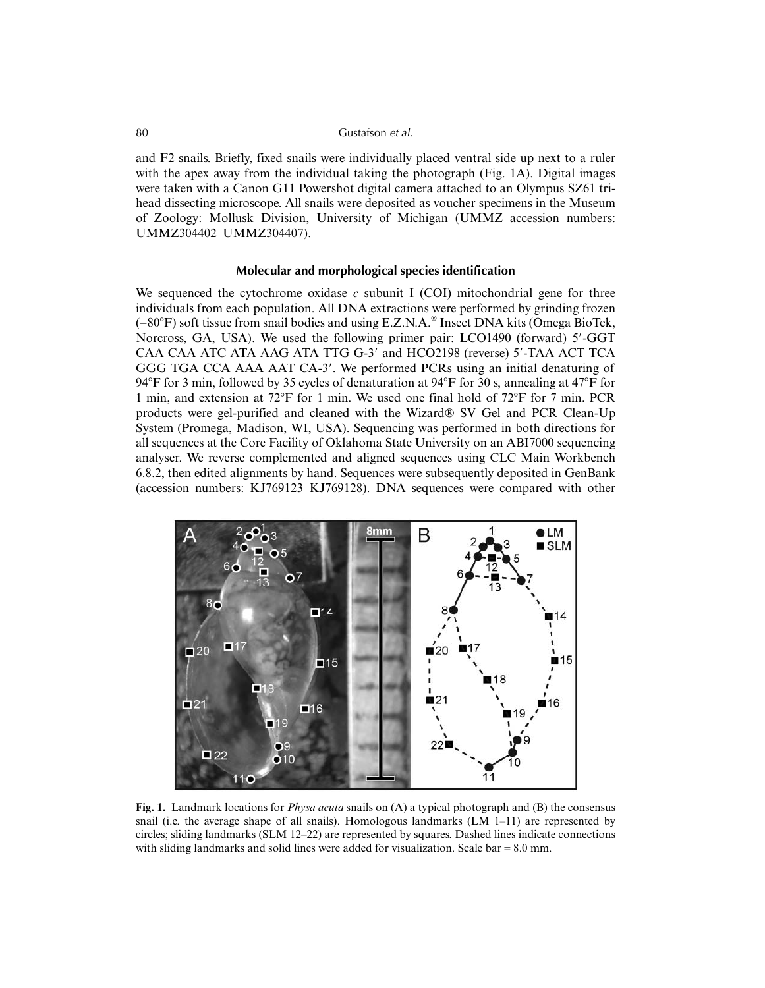## 80 Gustafson *et al.*

and F2 snails. Briefly, fixed snails were individually placed ventral side up next to a ruler with the apex away from the individual taking the photograph (Fig. 1A). Digital images were taken with a Canon G11 Powershot digital camera attached to an Olympus SZ61 trihead dissecting microscope. All snails were deposited as voucher specimens in the Museum of Zoology: Mollusk Division, University of Michigan (UMMZ accession numbers: UMMZ304402–UMMZ304407).

#### **Molecular and morphological species identification**

We sequenced the cytochrome oxidase *c* subunit I (COI) mitochondrial gene for three individuals from each population. All DNA extractions were performed by grinding frozen (-80°F) soft tissue from snail bodies and using E.Z.N.A.® Insect DNA kits (Omega BioTek, Norcross, GA, USA). We used the following primer pair: LCO1490 (forward) 5'-GGT CAA CAA ATC ATA AAG ATA TTG G-3' and HCO2198 (reverse) 5'-TAA ACT TCA GGG TGA CCA AAA AAT CA-3'. We performed PCRs using an initial denaturing of 94°F for 3 min, followed by 35 cycles of denaturation at  $94^{\circ}$ F for 30 s, annealing at 47°F for 1 min, and extension at 72F for 1 min. We used one final hold of 72F for 7 min. PCR products were gel-purified and cleaned with the Wizard® SV Gel and PCR Clean-Up System (Promega, Madison, WI, USA). Sequencing was performed in both directions for all sequences at the Core Facility of Oklahoma State University on an ABI7000 sequencing analyser. We reverse complemented and aligned sequences using CLC Main Workbench 6.8.2, then edited alignments by hand. Sequences were subsequently deposited in GenBank (accession numbers: KJ769123–KJ769128). DNA sequences were compared with other



**Fig. 1.** Landmark locations for *Physa acuta* snails on (A) a typical photograph and (B) the consensus snail (i.e. the average shape of all snails). Homologous landmarks  $(LM 1-11)$  are represented by circles; sliding landmarks (SLM 12–22) are represented by squares. Dashed lines indicate connections with sliding landmarks and solid lines were added for visualization. Scale bar = 8.0 mm.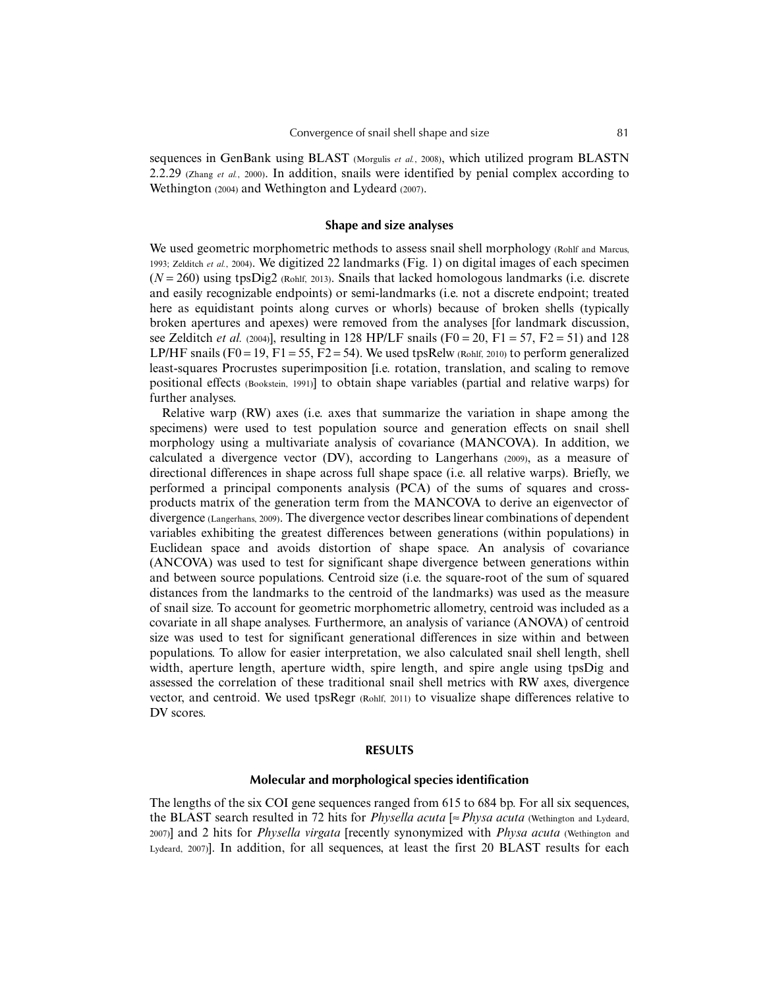sequences in GenBank using BLAST (Morgulis *et al.*, 2008), which utilized program BLASTN 2.2.29 (Zhang *et al.*, 2000). In addition, snails were identified by penial complex according to Wethington (2004) and Wethington and Lydeard (2007).

# **Shape and size analyses**

We used geometric morphometric methods to assess snail shell morphology (Rohlf and Marcus, 1993; Zelditch *et al.*, 2004). We digitized 22 landmarks (Fig. 1) on digital images of each specimen  $(N = 260)$  using tpsDig2 (Rohlf, 2013). Snails that lacked homologous landmarks (i.e. discrete and easily recognizable endpoints) or semi-landmarks (i.e. not a discrete endpoint; treated here as equidistant points along curves or whorls) because of broken shells (typically broken apertures and apexes) were removed from the analyses [for landmark discussion, see Zelditch *et al.* (2004)], resulting in 128 HP/LF snails (F0 = 20, F1 = 57, F2 = 51) and 128 LP/HF snails (F0 = 19, F1 = 55, F2 = 54). We used tpsRelw (Rohlf, 2010) to perform generalized least-squares Procrustes superimposition [i.e. rotation, translation, and scaling to remove positional effects (Bookstein, 1991)] to obtain shape variables (partial and relative warps) for further analyses.

Relative warp (RW) axes (i.e. axes that summarize the variation in shape among the specimens) were used to test population source and generation effects on snail shell morphology using a multivariate analysis of covariance (MANCOVA). In addition, we calculated a divergence vector (DV), according to Langerhans (2009), as a measure of directional differences in shape across full shape space (i.e. all relative warps). Briefly, we performed a principal components analysis (PCA) of the sums of squares and crossproducts matrix of the generation term from the MANCOVA to derive an eigenvector of divergence (Langerhans, 2009). The divergence vector describes linear combinations of dependent variables exhibiting the greatest differences between generations (within populations) in Euclidean space and avoids distortion of shape space. An analysis of covariance (ANCOVA) was used to test for significant shape divergence between generations within and between source populations. Centroid size (i.e. the square-root of the sum of squared distances from the landmarks to the centroid of the landmarks) was used as the measure of snail size. To account for geometric morphometric allometry, centroid was included as a covariate in all shape analyses. Furthermore, an analysis of variance (ANOVA) of centroid size was used to test for significant generational differences in size within and between populations. To allow for easier interpretation, we also calculated snail shell length, shell width, aperture length, aperture width, spire length, and spire angle using tpsDig and assessed the correlation of these traditional snail shell metrics with RW axes, divergence vector, and centroid. We used tpsRegr (Rohlf, 2011) to visualize shape differences relative to DV scores.

#### **RESULTS**

#### **Molecular and morphological species identification**

The lengths of the six COI gene sequences ranged from 615 to 684 bp. For all six sequences, the BLAST search resulted in 72 hits for *Physella acuta* [≈*Physa acuta* (Wethington and Lydeard, 2007)] and 2 hits for *Physella virgata* [recently synonymized with *Physa acuta* (Wethington and Lydeard, 2007)]. In addition, for all sequences, at least the first 20 BLAST results for each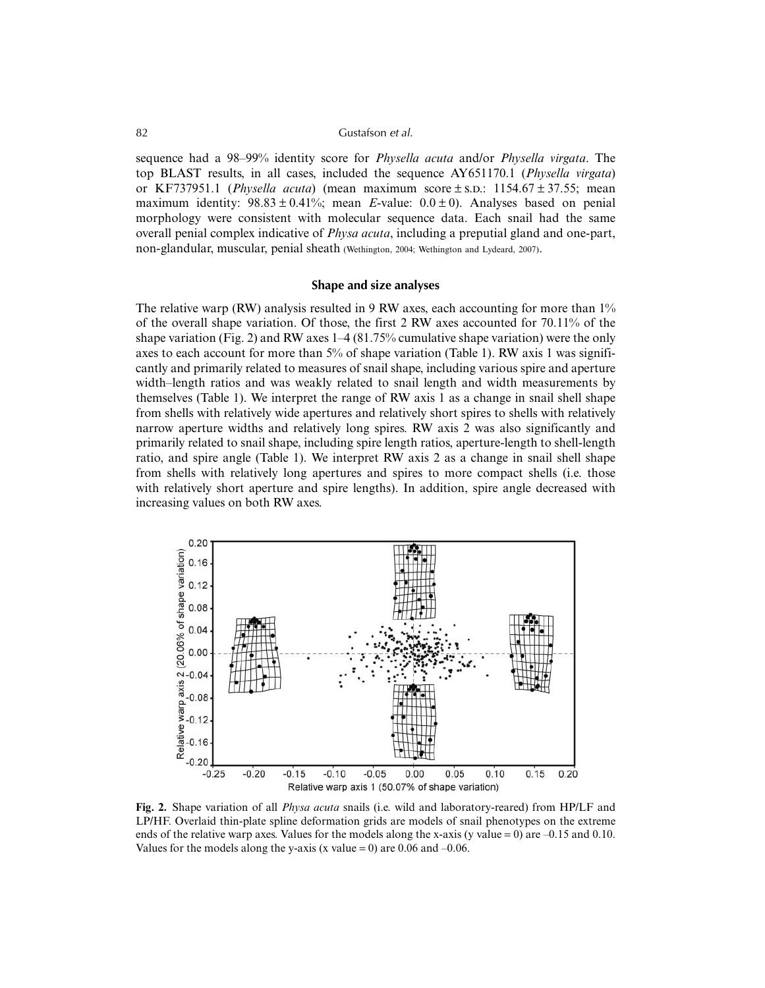## 82 Gustafson *et al.*

sequence had a 98–99% identity score for *Physella acuta* and/or *Physella virgata*. The top BLAST results, in all cases, included the sequence AY651170.1 (*Physella virgata*) or KF737951.1 (*Physella acuta*) (mean maximum score  $\pm$  s.p.: 1154.67  $\pm$  37.55; mean maximum identity:  $98.83 \pm 0.41\%$ ; mean *E*-value:  $0.0 \pm 0$ ). Analyses based on penial morphology were consistent with molecular sequence data. Each snail had the same overall penial complex indicative of *Physa acuta*, including a preputial gland and one-part, non-glandular, muscular, penial sheath (Wethington, 2004; Wethington and Lydeard, 2007).

## **Shape and size analyses**

The relative warp (RW) analysis resulted in 9 RW axes, each accounting for more than 1% of the overall shape variation. Of those, the first 2 RW axes accounted for 70.11% of the shape variation (Fig. 2) and RW axes 1–4 (81.75% cumulative shape variation) were the only axes to each account for more than 5% of shape variation (Table 1). RW axis 1 was significantly and primarily related to measures of snail shape, including various spire and aperture width–length ratios and was weakly related to snail length and width measurements by themselves (Table 1). We interpret the range of RW axis 1 as a change in snail shell shape from shells with relatively wide apertures and relatively short spires to shells with relatively narrow aperture widths and relatively long spires. RW axis 2 was also significantly and primarily related to snail shape, including spire length ratios, aperture-length to shell-length ratio, and spire angle (Table 1). We interpret RW axis 2 as a change in snail shell shape from shells with relatively long apertures and spires to more compact shells (i.e. those with relatively short aperture and spire lengths). In addition, spire angle decreased with increasing values on both RW axes.



**Fig. 2.** Shape variation of all *Physa acuta* snails (i.e. wild and laboratory-reared) from HP/LF and LP/HF. Overlaid thin-plate spline deformation grids are models of snail phenotypes on the extreme ends of the relative warp axes. Values for the models along the x-axis (y value = 0) are  $-0.15$  and 0.10. Values for the models along the y-axis (x value = 0) are 0.06 and  $-0.06$ .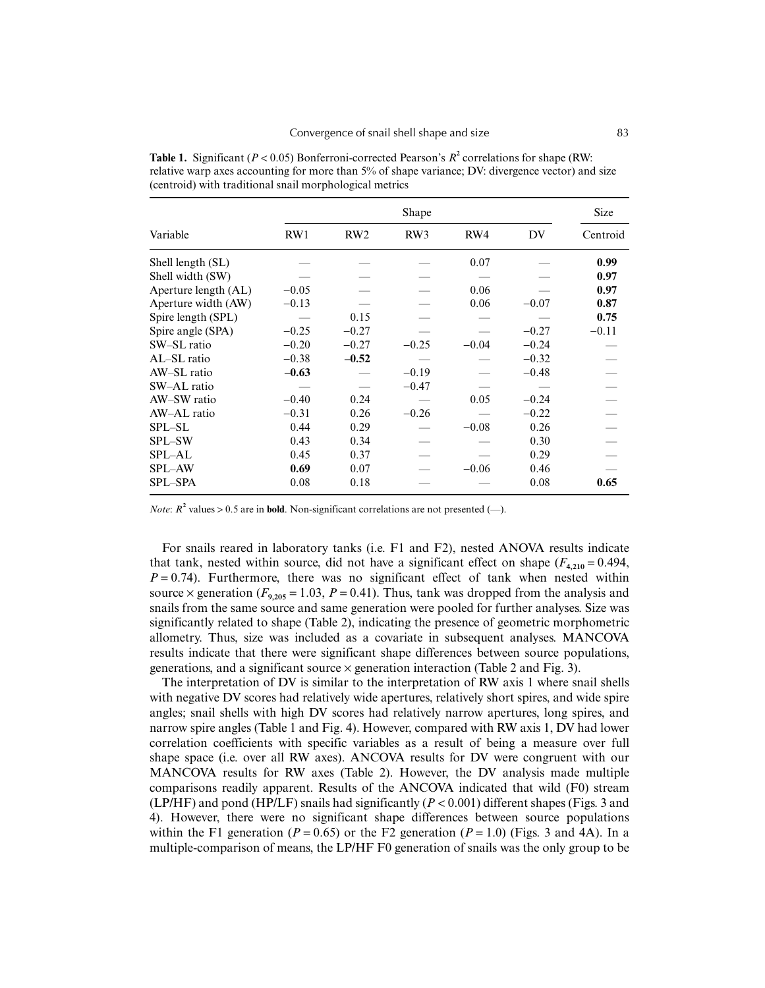|                      |         | <b>Size</b> |         |         |         |          |
|----------------------|---------|-------------|---------|---------|---------|----------|
| Variable             | RW1     | RW2         | RW3     | RW4     | DV      | Centroid |
| Shell length (SL)    |         |             |         | 0.07    |         | 0.99     |
| Shell width (SW)     |         |             |         |         |         | 0.97     |
| Aperture length (AL) | $-0.05$ |             |         | 0.06    |         | 0.97     |
| Aperture width (AW)  | $-0.13$ |             |         | 0.06    | $-0.07$ | 0.87     |
| Spire length (SPL)   |         | 0.15        |         |         |         | 0.75     |
| Spire angle (SPA)    | $-0.25$ | $-0.27$     |         |         | $-0.27$ | $-0.11$  |
| SW-SL ratio          | $-0.20$ | $-0.27$     | $-0.25$ | $-0.04$ | $-0.24$ |          |
| AL-SL ratio          | $-0.38$ | $-0.52$     |         |         | $-0.32$ |          |
| AW-SL ratio          | $-0.63$ |             | $-0.19$ |         | $-0.48$ |          |
| SW-AL ratio          |         |             | $-0.47$ |         |         |          |
| AW-SW ratio          | $-0.40$ | 0.24        |         | 0.05    | $-0.24$ |          |
| AW-AL ratio          | $-0.31$ | 0.26        | $-0.26$ |         | $-0.22$ |          |
| <b>SPL-SL</b>        | 0.44    | 0.29        |         | $-0.08$ | 0.26    |          |
| SPL-SW               | 0.43    | 0.34        |         |         | 0.30    |          |
| SPL-AL               | 0.45    | 0.37        |         |         | 0.29    |          |
| <b>SPL-AW</b>        | 0.69    | 0.07        |         | $-0.06$ | 0.46    |          |
| SPL-SPA              | 0.08    | 0.18        |         |         | 0.08    | 0.65     |

**Table 1.** Significant ( $P < 0.05$ ) Bonferroni-corrected Pearson's  $R^2$  correlations for shape (RW: relative warp axes accounting for more than 5% of shape variance; DV: divergence vector) and size (centroid) with traditional snail morphological metrics

*Note*:  $R^2$  values > 0.5 are in **bold**. Non-significant correlations are not presented (-).

For snails reared in laboratory tanks (i.e. F1 and F2), nested ANOVA results indicate that tank, nested within source, did not have a significant effect on shape  $(F_{4,210} = 0.494,$  $P = 0.74$ ). Furthermore, there was no significant effect of tank when nested within source  $\times$  generation ( $F_{9,205}$  = 1.03,  $P = 0.41$ ). Thus, tank was dropped from the analysis and snails from the same source and same generation were pooled for further analyses. Size was significantly related to shape (Table 2), indicating the presence of geometric morphometric allometry. Thus, size was included as a covariate in subsequent analyses. MANCOVA results indicate that there were significant shape differences between source populations, generations, and a significant source  $\times$  generation interaction (Table 2 and Fig. 3).

The interpretation of DV is similar to the interpretation of RW axis 1 where snail shells with negative DV scores had relatively wide apertures, relatively short spires, and wide spire angles; snail shells with high DV scores had relatively narrow apertures, long spires, and narrow spire angles (Table 1 and Fig. 4). However, compared with RW axis 1, DV had lower correlation coefficients with specific variables as a result of being a measure over full shape space (i.e. over all RW axes). ANCOVA results for DV were congruent with our MANCOVA results for RW axes (Table 2). However, the DV analysis made multiple comparisons readily apparent. Results of the ANCOVA indicated that wild (F0) stream (LP/HF) and pond (HP/LF) snails had significantly (*P* < 0.001) different shapes (Figs. 3 and 4). However, there were no significant shape differences between source populations within the F1 generation ( $P = 0.65$ ) or the F2 generation ( $P = 1.0$ ) (Figs. 3 and 4A). In a multiple-comparison of means, the LP/HF F0 generation of snails was the only group to be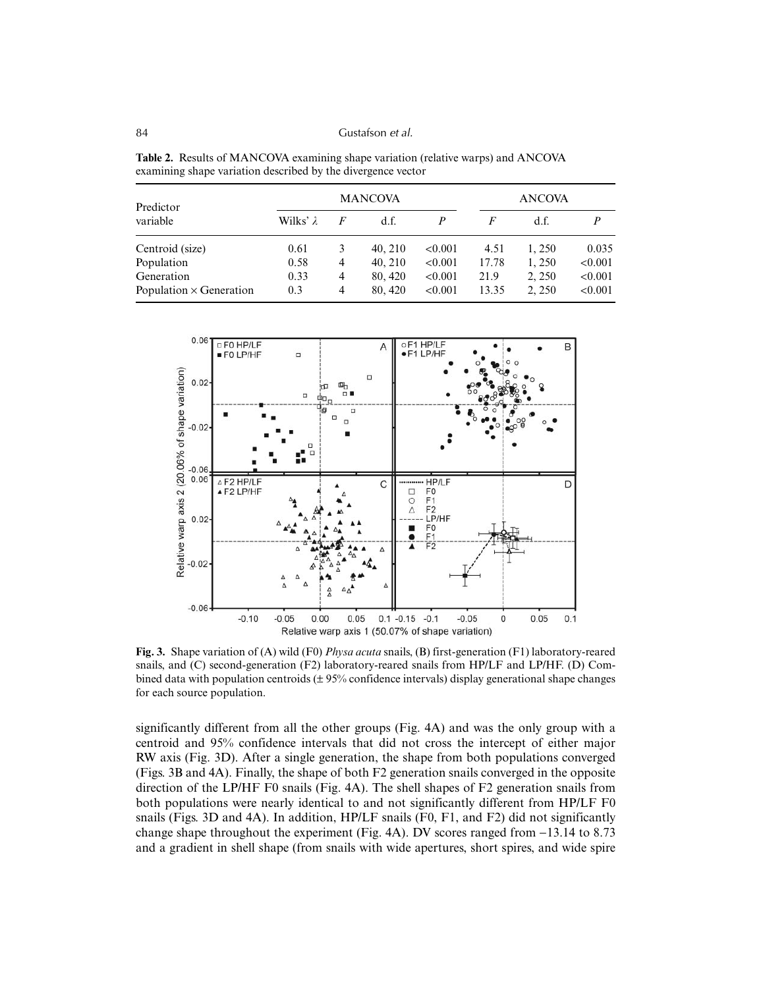| <b>Table 2.</b> Results of MANCOVA examining shape variation (relative warps) and ANCOVA |
|------------------------------------------------------------------------------------------|
| examining shape variation described by the divergence vector                             |

| Predictor                      | <b>MANCOVA</b> |                |         |         |       | <b>ANCOVA</b> |         |  |
|--------------------------------|----------------|----------------|---------|---------|-------|---------------|---------|--|
| variable                       | Wilks' λ       | F              | d.f.    | P       | F     | d.f.          | P       |  |
| Centroid (size)                | 0.61           | 3              | 40, 210 | < 0.001 | 4.51  | 1.250         | 0.035   |  |
| Population                     | 0.58           | $\overline{4}$ | 40, 210 | < 0.001 | 17.78 | 1,250         | < 0.001 |  |
| Generation                     | 0.33           | 4              | 80, 420 | < 0.001 | 21.9  | 2, 250        | < 0.001 |  |
| Population $\times$ Generation | 0.3            | $\overline{4}$ | 80, 420 | < 0.001 | 13.35 | 2.250         | < 0.001 |  |



**Fig. 3.** Shape variation of (A) wild (F0) *Physa acuta* snails, (B) first-generation (F1) laboratory-reared snails, and (C) second-generation (F2) laboratory-reared snails from HP/LF and LP/HF. (D) Combined data with population centroids (± 95% confidence intervals) display generational shape changes for each source population.

significantly different from all the other groups (Fig. 4A) and was the only group with a centroid and 95% confidence intervals that did not cross the intercept of either major RW axis (Fig. 3D). After a single generation, the shape from both populations converged (Figs. 3B and 4A). Finally, the shape of both F2 generation snails converged in the opposite direction of the LP/HF F0 snails (Fig. 4A). The shell shapes of F2 generation snails from both populations were nearly identical to and not significantly different from HP/LF F0 snails (Figs. 3D and 4A). In addition, HP/LF snails (F0, F1, and F2) did not significantly change shape throughout the experiment (Fig. 4A). DV scores ranged from −13.14 to 8.73 and a gradient in shell shape (from snails with wide apertures, short spires, and wide spire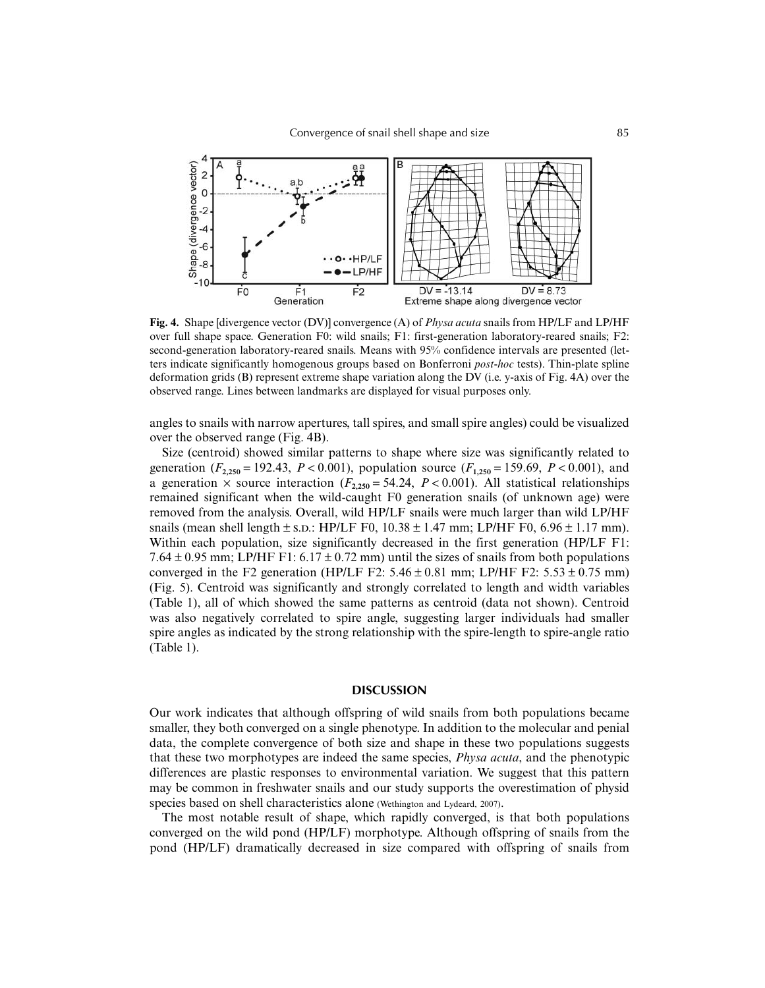

**Fig. 4.** Shape [divergence vector (DV)] convergence (A) of *Physa acuta* snails from HP/LF and LP/HF over full shape space. Generation F0: wild snails; F1: first-generation laboratory-reared snails; F2: second-generation laboratory-reared snails. Means with 95% confidence intervals are presented (letters indicate significantly homogenous groups based on Bonferroni *post-hoc* tests). Thin-plate spline deformation grids (B) represent extreme shape variation along the DV (i.e. y-axis of Fig. 4A) over the observed range. Lines between landmarks are displayed for visual purposes only.

angles to snails with narrow apertures, tall spires, and small spire angles) could be visualized over the observed range (Fig. 4B).

Size (centroid) showed similar patterns to shape where size was significantly related to generation ( $F_{2,250}$  = 192.43,  $P < 0.001$ ), population source ( $F_{1,250}$  = 159.69,  $P < 0.001$ ), and a generation  $\times$  source interaction ( $F_{2,250} = 54.24$ ,  $P < 0.001$ ). All statistical relationships remained significant when the wild-caught F0 generation snails (of unknown age) were removed from the analysis. Overall, wild HP/LF snails were much larger than wild LP/HF snails (mean shell length  $\pm$  s.d.: HP/LF F0, 10.38  $\pm$  1.47 mm; LP/HF F0, 6.96  $\pm$  1.17 mm). Within each population, size significantly decreased in the first generation (HP/LF F1: 7.64  $\pm$  0.95 mm; LP/HF F1: 6.17  $\pm$  0.72 mm) until the sizes of snails from both populations converged in the F2 generation (HP/LF F2:  $5.46 \pm 0.81$  mm; LP/HF F2:  $5.53 \pm 0.75$  mm) (Fig. 5). Centroid was significantly and strongly correlated to length and width variables (Table 1), all of which showed the same patterns as centroid (data not shown). Centroid was also negatively correlated to spire angle, suggesting larger individuals had smaller spire angles as indicated by the strong relationship with the spire-length to spire-angle ratio (Table 1).

#### **DISCUSSION**

Our work indicates that although offspring of wild snails from both populations became smaller, they both converged on a single phenotype. In addition to the molecular and penial data, the complete convergence of both size and shape in these two populations suggests that these two morphotypes are indeed the same species, *Physa acuta*, and the phenotypic differences are plastic responses to environmental variation. We suggest that this pattern may be common in freshwater snails and our study supports the overestimation of physid species based on shell characteristics alone (Wethington and Lydeard, 2007).

The most notable result of shape, which rapidly converged, is that both populations converged on the wild pond (HP/LF) morphotype. Although offspring of snails from the pond (HP/LF) dramatically decreased in size compared with offspring of snails from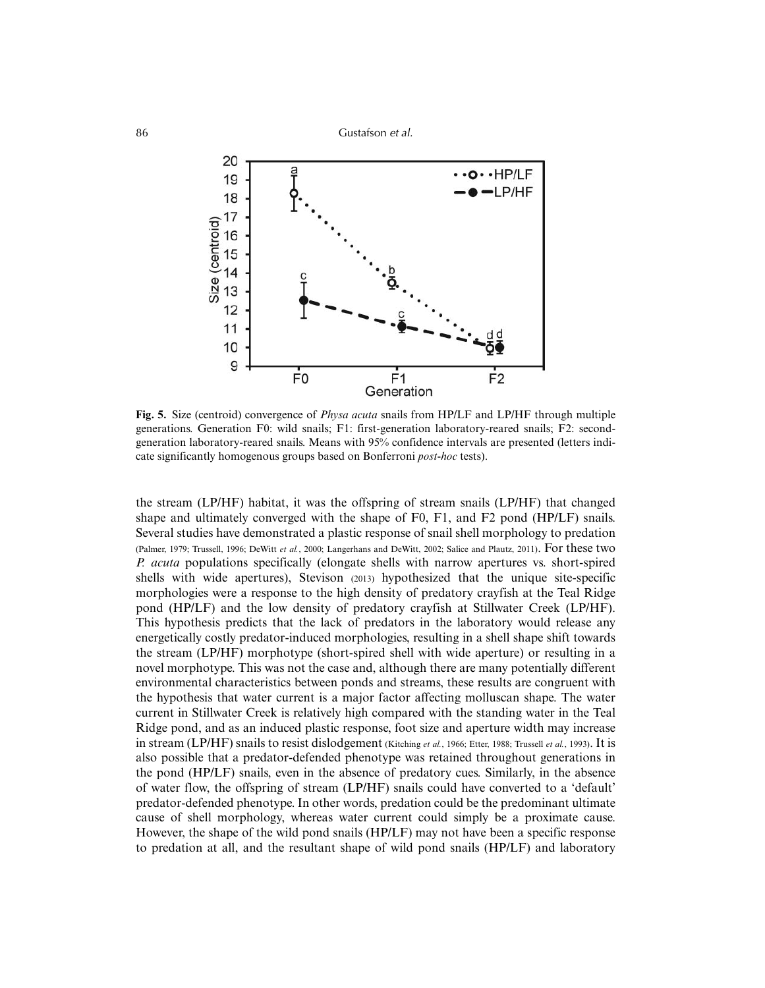86 Gustafson *et al.*



**Fig. 5.** Size (centroid) convergence of *Physa acuta* snails from HP/LF and LP/HF through multiple generations. Generation F0: wild snails; F1: first-generation laboratory-reared snails; F2: secondgeneration laboratory-reared snails. Means with 95% confidence intervals are presented (letters indicate significantly homogenous groups based on Bonferroni *post-hoc* tests).

the stream (LP/HF) habitat, it was the offspring of stream snails (LP/HF) that changed shape and ultimately converged with the shape of F0, F1, and F2 pond (HP/LF) snails. Several studies have demonstrated a plastic response of snail shell morphology to predation (Palmer, 1979; Trussell, 1996; DeWitt *et al.*, 2000; Langerhans and DeWitt, 2002; Salice and Plautz, 2011). For these two *P. acuta* populations specifically (elongate shells with narrow apertures vs. short-spired shells with wide apertures), Stevison (2013) hypothesized that the unique site-specific morphologies were a response to the high density of predatory crayfish at the Teal Ridge pond (HP/LF) and the low density of predatory crayfish at Stillwater Creek (LP/HF). This hypothesis predicts that the lack of predators in the laboratory would release any energetically costly predator-induced morphologies, resulting in a shell shape shift towards the stream (LP/HF) morphotype (short-spired shell with wide aperture) or resulting in a novel morphotype. This was not the case and, although there are many potentially different environmental characteristics between ponds and streams, these results are congruent with the hypothesis that water current is a major factor affecting molluscan shape. The water current in Stillwater Creek is relatively high compared with the standing water in the Teal Ridge pond, and as an induced plastic response, foot size and aperture width may increase in stream (LP/HF) snails to resist dislodgement (Kitching *et al.*, 1966; Etter, 1988; Trussell *et al.*, 1993). It is also possible that a predator-defended phenotype was retained throughout generations in the pond (HP/LF) snails, even in the absence of predatory cues. Similarly, in the absence of water flow, the offspring of stream (LP/HF) snails could have converted to a 'default' predator-defended phenotype. In other words, predation could be the predominant ultimate cause of shell morphology, whereas water current could simply be a proximate cause. However, the shape of the wild pond snails (HP/LF) may not have been a specific response to predation at all, and the resultant shape of wild pond snails (HP/LF) and laboratory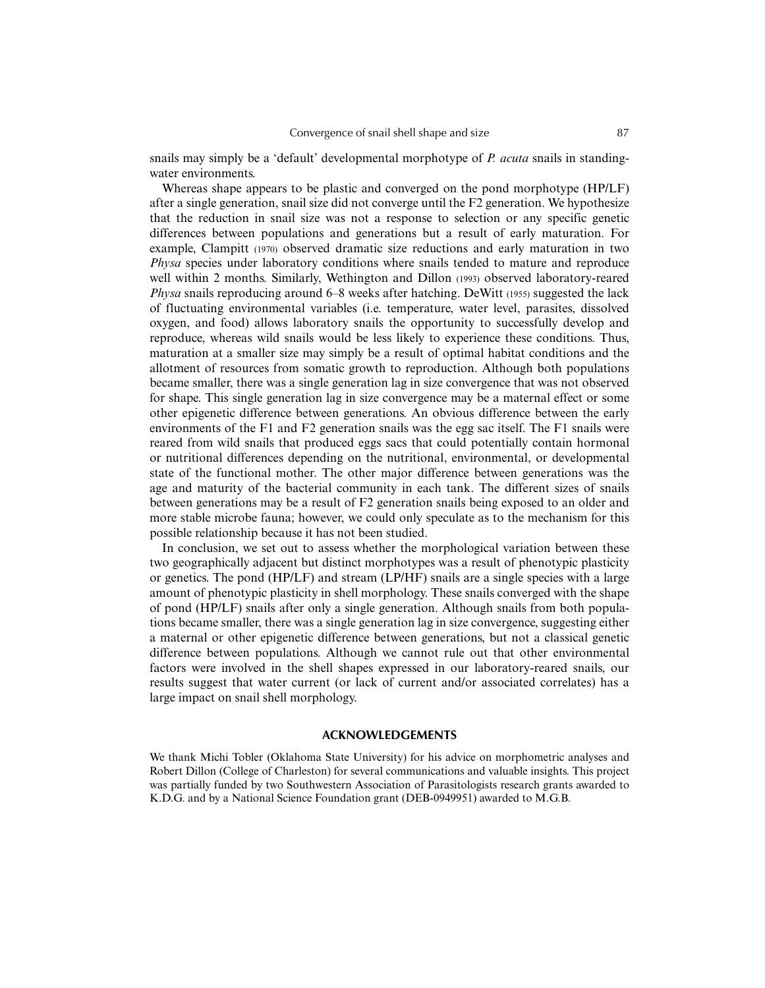snails may simply be a 'default' developmental morphotype of *P. acuta* snails in standingwater environments.

Whereas shape appears to be plastic and converged on the pond morphotype (HP/LF) after a single generation, snail size did not converge until the F2 generation. We hypothesize that the reduction in snail size was not a response to selection or any specific genetic differences between populations and generations but a result of early maturation. For example, Clampitt (1970) observed dramatic size reductions and early maturation in two *Physa* species under laboratory conditions where snails tended to mature and reproduce well within 2 months. Similarly, Wethington and Dillon (1993) observed laboratory-reared *Physa* snails reproducing around 6–8 weeks after hatching. DeWitt (1955) suggested the lack of fluctuating environmental variables (i.e. temperature, water level, parasites, dissolved oxygen, and food) allows laboratory snails the opportunity to successfully develop and reproduce, whereas wild snails would be less likely to experience these conditions. Thus, maturation at a smaller size may simply be a result of optimal habitat conditions and the allotment of resources from somatic growth to reproduction. Although both populations became smaller, there was a single generation lag in size convergence that was not observed for shape. This single generation lag in size convergence may be a maternal effect or some other epigenetic difference between generations. An obvious difference between the early environments of the F1 and F2 generation snails was the egg sac itself. The F1 snails were reared from wild snails that produced eggs sacs that could potentially contain hormonal or nutritional differences depending on the nutritional, environmental, or developmental state of the functional mother. The other major difference between generations was the age and maturity of the bacterial community in each tank. The different sizes of snails between generations may be a result of F2 generation snails being exposed to an older and more stable microbe fauna; however, we could only speculate as to the mechanism for this possible relationship because it has not been studied.

In conclusion, we set out to assess whether the morphological variation between these two geographically adjacent but distinct morphotypes was a result of phenotypic plasticity or genetics. The pond (HP/LF) and stream (LP/HF) snails are a single species with a large amount of phenotypic plasticity in shell morphology. These snails converged with the shape of pond (HP/LF) snails after only a single generation. Although snails from both populations became smaller, there was a single generation lag in size convergence, suggesting either a maternal or other epigenetic difference between generations, but not a classical genetic difference between populations. Although we cannot rule out that other environmental factors were involved in the shell shapes expressed in our laboratory-reared snails, our results suggest that water current (or lack of current and/or associated correlates) has a large impact on snail shell morphology.

# **ACKNOWLEDGEMENTS**

We thank Michi Tobler (Oklahoma State University) for his advice on morphometric analyses and Robert Dillon (College of Charleston) for several communications and valuable insights. This project was partially funded by two Southwestern Association of Parasitologists research grants awarded to K.D.G. and by a National Science Foundation grant (DEB-0949951) awarded to M.G.B.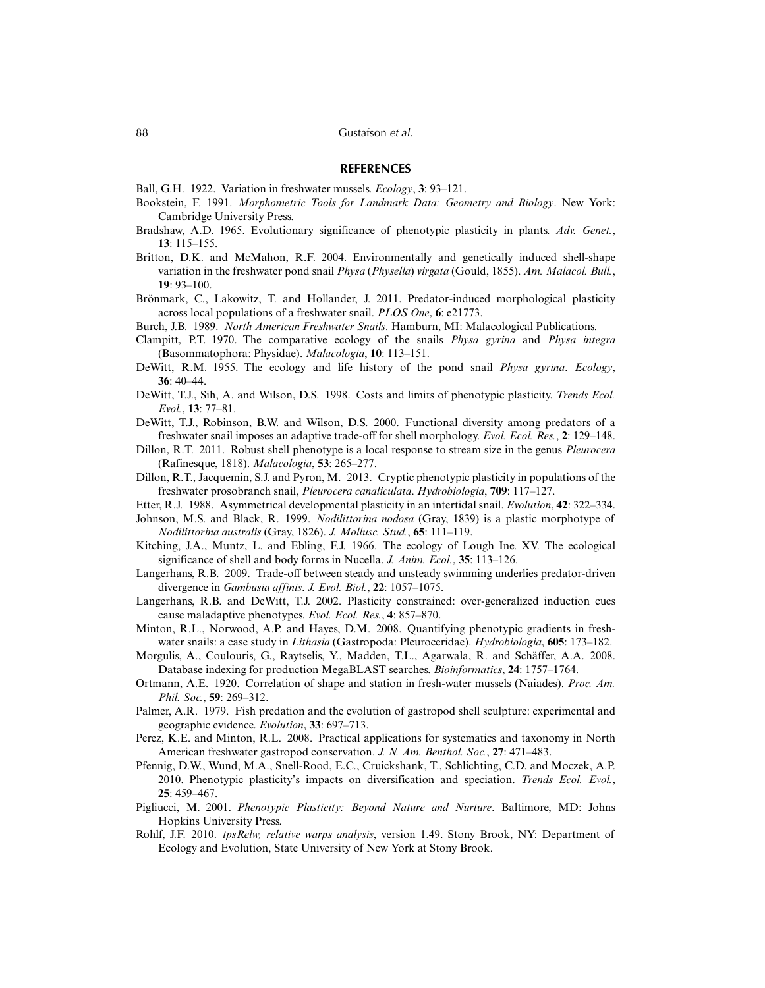### **REFERENCES**

- Ball, G.H. 1922. Variation in freshwater mussels. *Ecology*, **3**: 93–121.
- Bookstein, F. 1991. *Morphometric Tools for Landmark Data: Geometry and Biology*. New York: Cambridge University Press.
- Bradshaw, A.D. 1965. Evolutionary significance of phenotypic plasticity in plants. *Adv. Genet.*, **13**: 115–155.
- Britton, D.K. and McMahon, R.F. 2004. Environmentally and genetically induced shell-shape variation in the freshwater pond snail *Physa* (*Physella*) *virgata* (Gould, 1855). *Am. Malacol. Bull.*, **19**: 93–100.
- Brönmark, C., Lakowitz, T. and Hollander, J. 2011. Predator-induced morphological plasticity across local populations of a freshwater snail. *PLOS One*, **6**: e21773.
- Burch, J.B. 1989. *North American Freshwater Snails*. Hamburn, MI: Malacological Publications.
- Clampitt, P.T. 1970. The comparative ecology of the snails *Physa gyrina* and *Physa integra* (Basommatophora: Physidae). *Malacologia*, **10**: 113–151.
- DeWitt, R.M. 1955. The ecology and life history of the pond snail *Physa gyrina*. *Ecology*, **36**: 40–44.
- DeWitt, T.J., Sih, A. and Wilson, D.S. 1998. Costs and limits of phenotypic plasticity. *Trends Ecol. Evol.*, **13**: 77–81.
- DeWitt, T.J., Robinson, B.W. and Wilson, D.S. 2000. Functional diversity among predators of a freshwater snail imposes an adaptive trade-off for shell morphology. *Evol. Ecol. Res.*, **2**: 129–148.
- Dillon, R.T. 2011. Robust shell phenotype is a local response to stream size in the genus *Pleurocera* (Rafinesque, 1818). *Malacologia*, **53**: 265–277.
- Dillon, R.T., Jacquemin, S.J. and Pyron, M. 2013. Cryptic phenotypic plasticity in populations of the freshwater prosobranch snail, *Pleurocera canaliculata*. *Hydrobiologia*, **709**: 117–127.
- Etter, R.J. 1988. Asymmetrical developmental plasticity in an intertidal snail. *Evolution*, **42**: 322–334.
- Johnson, M.S. and Black, R. 1999. *Nodilittorina nodosa* (Gray, 1839) is a plastic morphotype of *Nodilittorina australis* (Gray, 1826). *J. Mollusc. Stud.*, **65**: 111–119.
- Kitching, J.A., Muntz, L. and Ebling, F.J. 1966. The ecology of Lough Ine. XV. The ecological significance of shell and body forms in Nucella. *J. Anim. Ecol.*, **35**: 113–126.
- Langerhans, R.B. 2009. Trade-off between steady and unsteady swimming underlies predator-driven divergence in *Gambusia affinis*. *J. Evol. Biol.*, **22**: 1057–1075.
- Langerhans, R.B. and DeWitt, T.J. 2002. Plasticity constrained: over-generalized induction cues cause maladaptive phenotypes. *Evol. Ecol. Res.*, **4**: 857–870.
- Minton, R.L., Norwood, A.P. and Hayes, D.M. 2008. Quantifying phenotypic gradients in freshwater snails: a case study in *Lithasia* (Gastropoda: Pleuroceridae). *Hydrobiologia*, **605**: 173–182.
- Morgulis, A., Coulouris, G., Raytselis, Y., Madden, T.L., Agarwala, R. and Schäffer, A.A. 2008. Database indexing for production MegaBLAST searches. *Bioinformatics*, **24**: 1757–1764.
- Ortmann, A.E. 1920. Correlation of shape and station in fresh-water mussels (Naiades). *Proc. Am. Phil. Soc.*, **59**: 269–312.
- Palmer, A.R. 1979. Fish predation and the evolution of gastropod shell sculpture: experimental and geographic evidence. *Evolution*, **33**: 697–713.
- Perez, K.E. and Minton, R.L. 2008. Practical applications for systematics and taxonomy in North American freshwater gastropod conservation. *J. N. Am. Benthol. Soc.*, **27**: 471–483.
- Pfennig, D.W., Wund, M.A., Snell-Rood, E.C., Cruickshank, T., Schlichting, C.D. and Moczek, A.P. 2010. Phenotypic plasticity's impacts on diversification and speciation. *Trends Ecol. Evol.*, **25**: 459–467.
- Pigliucci, M. 2001. *Phenotypic Plasticity: Beyond Nature and Nurture*. Baltimore, MD: Johns Hopkins University Press.
- Rohlf, J.F. 2010. *tpsRelw, relative warps analysis*, version 1.49. Stony Brook, NY: Department of Ecology and Evolution, State University of New York at Stony Brook.